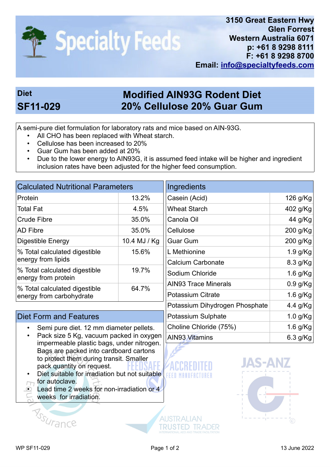

## **Diet Modified AIN93G Rodent Diet SF11-029 20% Cellulose 20% Guar Gum**

A semi-pure diet formulation for laboratory rats and mice based on AIN-93G.

- All CHO has been replaced with Wheat starch.
- Cellulose has been increased to 20%
- Guar Gum has been added at 20%
- Due to the lower energy to AIN93G, it is assumed feed intake will be higher and ingredient inclusion rates have been adjusted for the higher feed consumption.

| <b>Calculated Nutritional Parameters</b>                   |              | Ingredients                    |            |
|------------------------------------------------------------|--------------|--------------------------------|------------|
| Protein                                                    | 13.2%        | Casein (Acid)                  | 126 g/Kg   |
| <b>Total Fat</b>                                           | 4.5%         | <b>Wheat Starch</b>            | 402 g/Kg   |
| Crude Fibre                                                | 35.0%        | Canola Oil                     | 44 g/Kg    |
| <b>AD Fibre</b>                                            | 35.0%        | Cellulose                      | 200 g/Kg   |
| Digestible Energy                                          | 10.4 MJ / Kg | <b>Guar Gum</b>                | 200 g/Kg   |
| % Total calculated digestible                              | 15.6%        | L Methionine                   | $1.9$ g/Kg |
| energy from lipids                                         |              | <b>Calcium Carbonate</b>       | 8.3 g/Kg   |
| % Total calculated digestible<br>energy from protein       | 19.7%        | Sodium Chloride                | $1.6$ g/Kg |
|                                                            | 64.7%        | <b>AIN93 Trace Minerals</b>    | $0.9$ g/Kg |
| │% Total calculated digestible<br>energy from carbohydrate |              | <b>Potassium Citrate</b>       | 1.6 $g/Kg$ |
|                                                            |              | Potassium Dihydrogen Phosphate | 4.4 $g/Kg$ |

## Diet Form and Features

- Semi pure diet. 12 mm diameter pellets.
- Pack size 5 Kg, vacuum packed in oxygen impermeable plastic bags, under nitrogen. Bags are packed into cardboard cartons to protect them during transit. Smaller pack quantity on request.
- Diet suitable for irradiation but not suitable for autoclave.
- Lead time 2 weeks for non-irradiation or 4
- weeks for irradiation.

Assurance

**AUSTRALIAN** 

**TRUSTED TRADER** 



Potassium Sulphate 1.0 g/Kg Choline Chloride (75%) 1.6 g/Kg AIN93 Vitamins 6.3 g/Kg